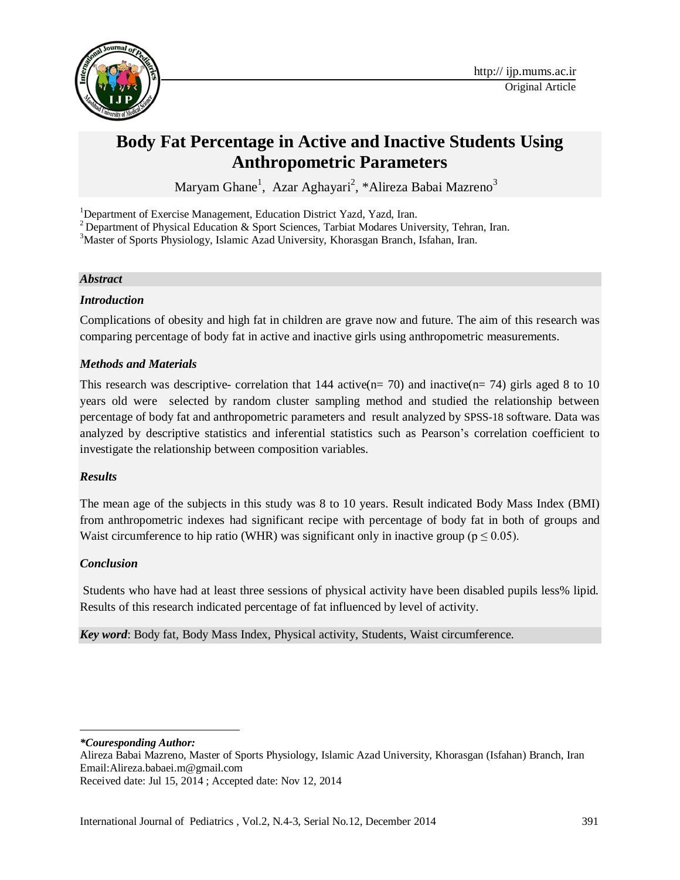

# **Body Fat Percentage in Active and Inactive Students Using Anthropometric Parameters**

Maryam Ghane<sup>1</sup>, Azar Aghayari<sup>2</sup>, \*Alireza Babai Mazreno<sup>3</sup>

<sup>1</sup>Department of Exercise Management, Education District Yazd, Yazd, Iran.

<sup>2</sup> Department of Physical Education & Sport Sciences, Tarbiat Modares University, Tehran, Iran.

<sup>3</sup>Master of Sports Physiology, Islamic Azad University, Khorasgan Branch, Isfahan, Iran.

#### *Abstract*

#### *Introduction*

Complications of obesity and high fat in children are grave now and future. The aim of this research was comparing percentage of body fat in active and inactive girls using anthropometric measurements.

#### *Methods and Materials*

This research was descriptive- correlation that 144 active( $n= 70$ ) and inactive( $n= 74$ ) girls aged 8 to 10 years old were selected by random cluster sampling method and studied the relationship between percentage of body fat and anthropometric parameters and result analyzed by SPSS-18 software. Data was analyzed by descriptive statistics and inferential statistics such as Pearson's correlation coefficient to investigate the relationship between composition variables.

#### *Results*

The mean age of the subjects in this study was 8 to 10 years. Result indicated Body Mass Index (BMI) from anthropometric indexes had significant recipe with percentage of body fat in both of groups and Waist circumference to hip ratio (WHR) was significant only in inactive group ( $p \le 0.05$ ).

#### *Conclusion*

Students who have had at least three sessions of physical activity have been disabled pupils less% lipid. Results of this research indicated percentage of fat influenced by level of activity.

*Key word*: Body fat, Body Mass Index, Physical activity, Students, Waist circumference.

*\*Couresponding Author:* 

 $\overline{\phantom{a}}$ 

Alireza Babai Mazreno, Master of Sports Physiology, Islamic Azad University, Khorasgan (Isfahan) Branch, Iran Email:Alireza.babaei.m@gmail.com

Received date: Jul 15, 2014 ; Accepted date: Nov 12, 2014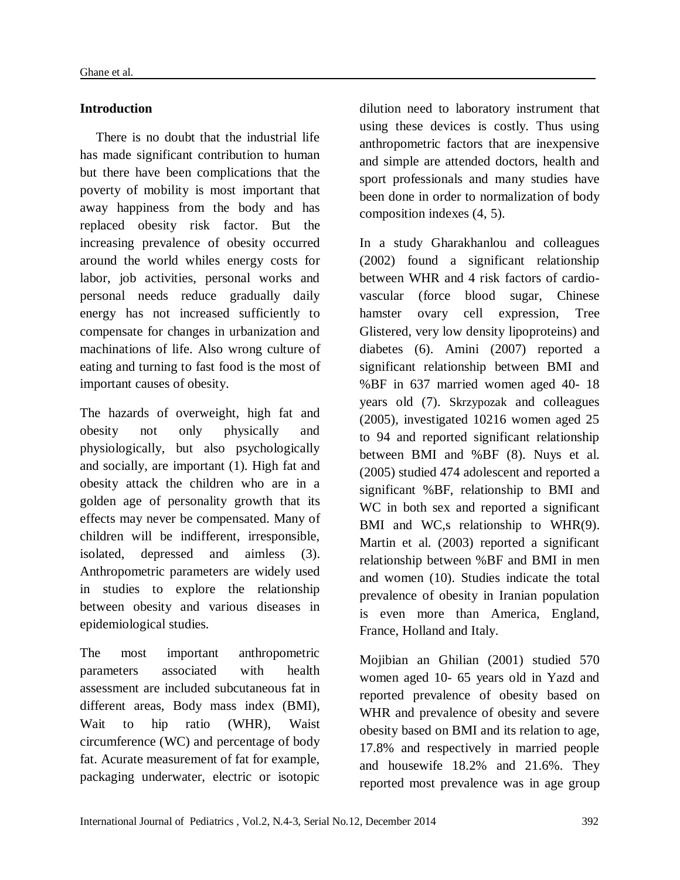### **Introduction**

There is no doubt that the industrial life has made significant contribution to human but there have been complications that the poverty of mobility is most important that away happiness from the body and has replaced obesity risk factor. But the increasing prevalence of obesity occurred around the world whiles energy costs for labor, job activities, personal works and personal needs reduce gradually daily energy has not increased sufficiently to compensate for changes in urbanization and machinations of life. Also wrong culture of eating and turning to fast food is the most of important causes of obesity.

The hazards of overweight, high fat and obesity not only physically and physiologically, but also psychologically and socially, are important (1). High fat and obesity attack the children who are in a golden age of personality growth that its effects may never be compensated. Many of children will be indifferent, irresponsible, isolated, depressed and aimless (3). Anthropometric parameters are widely used in studies to explore the relationship between obesity and various diseases in epidemiological studies.

The most important anthropometric parameters associated with health assessment are included subcutaneous fat in different areas, Body mass index (BMI), Wait to hip ratio (WHR), Waist circumference (WC) and percentage of body fat. Acurate measurement of fat for example, packaging underwater, electric or isotopic

dilution need to laboratory instrument that using these devices is costly. Thus using anthropometric factors that are inexpensive and simple are attended doctors, health and sport professionals and many studies have been done in order to normalization of body composition indexes (4, 5).

In a study Gharakhanlou and colleagues (2002) found a significant relationship between WHR and 4 risk factors of cardiovascular (force blood sugar, Chinese hamster ovary cell expression, Tree Glistered, very low density lipoproteins) and diabetes (6). Amini (2007) reported a significant relationship between BMI and %BF in 637 married women aged 40- 18 years old (7). Skrzypozak and colleagues (2005), investigated 10216 women aged 25 to 94 and reported significant relationship between BMI and %BF (8). Nuys et al. (2005) studied 474 adolescent and reported a significant %BF, relationship to BMI and WC in both sex and reported a significant BMI and WC,s relationship to WHR(9). Martin et al. (2003) reported a significant relationship between %BF and BMI in men and women (10). Studies indicate the total prevalence of obesity in Iranian population is even more than America, England, France, Holland and Italy.

Mojibian an Ghilian (2001) studied 570 women aged 10- 65 years old in Yazd and reported prevalence of obesity based on WHR and prevalence of obesity and severe obesity based on BMI and its relation to age, 17.8% and respectively in married people and housewife 18.2% and 21.6%. They reported most prevalence was in age group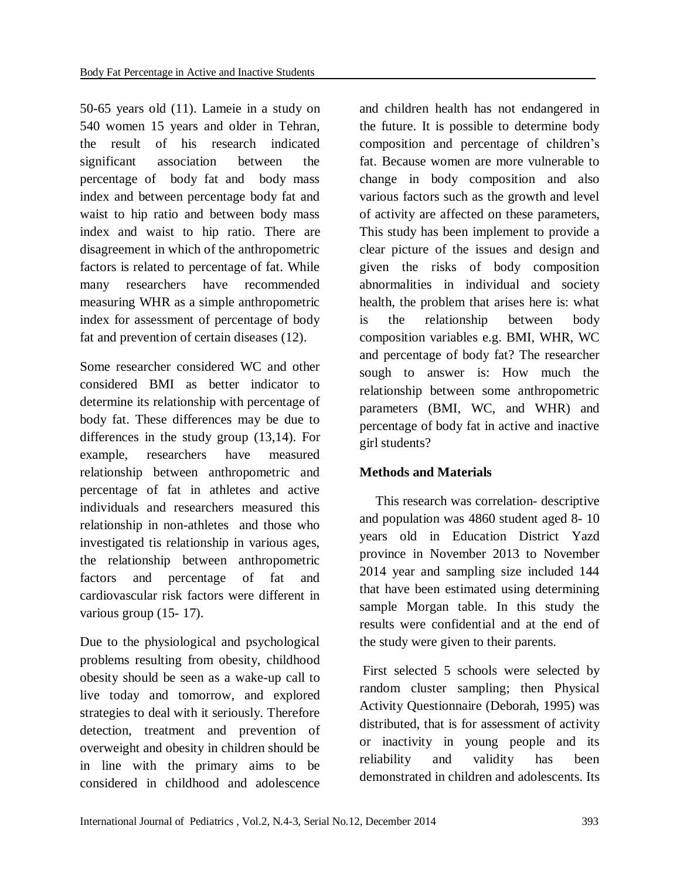50-65 years old (11). Lameie in a study on 540 women 15 years and older in Tehran, the result of his research indicated significant association between the percentage of body fat and body mass index and between percentage body fat and waist to hip ratio and between body mass index and waist to hip ratio. There are disagreement in which of the anthropometric factors is related to percentage of fat. While many researchers have recommended measuring WHR as a simple anthropometric index for assessment of percentage of body fat and prevention of certain diseases (12).

Some researcher considered WC and other considered BMI as better indicator to determine its relationship with percentage of body fat. These differences may be due to differences in the study group (13,14). For example, researchers have measured relationship between anthropometric and percentage of fat in athletes and active individuals and researchers measured this relationship in non-athletes and those who investigated tis relationship in various ages, the relationship between anthropometric factors and percentage of fat and cardiovascular risk factors were different in various group (15- 17).

Due to the physiological and psychological problems resulting from obesity, childhood obesity should be seen as a wake-up call to live today and tomorrow, and explored strategies to deal with it seriously. Therefore detection, treatment and prevention of overweight and obesity in children should be in line with the primary aims to be considered in childhood and adolescence

and children health has not endangered in the future. It is possible to determine body composition and percentage of children's fat. Because women are more vulnerable to change in body composition and also various factors such as the growth and level of activity are affected on these parameters, This study has been implement to provide a clear picture of the issues and design and given the risks of body composition abnormalities in individual and society health, the problem that arises here is: what is the relationship between body composition variables e.g. BMI, WHR, WC and percentage of body fat? The researcher sough to answer is: How much the relationship between some anthropometric parameters (BMI, WC, and WHR) and percentage of body fat in active and inactive girl students?

# **Methods and Materials**

This research was correlation- descriptive and population was 4860 student aged 8- 10 years old in Education District Yazd province in November 2013 to November 2014 year and sampling size included 144 that have been estimated using determining sample Morgan table. In this study the results were confidential and at the end of the study were given to their parents.

First selected 5 schools were selected by random cluster sampling; then Physical Activity Questionnaire (Deborah, 1995) was distributed, that is for assessment of activity or inactivity in young people and its reliability and validity has been demonstrated in children and adolescents. Its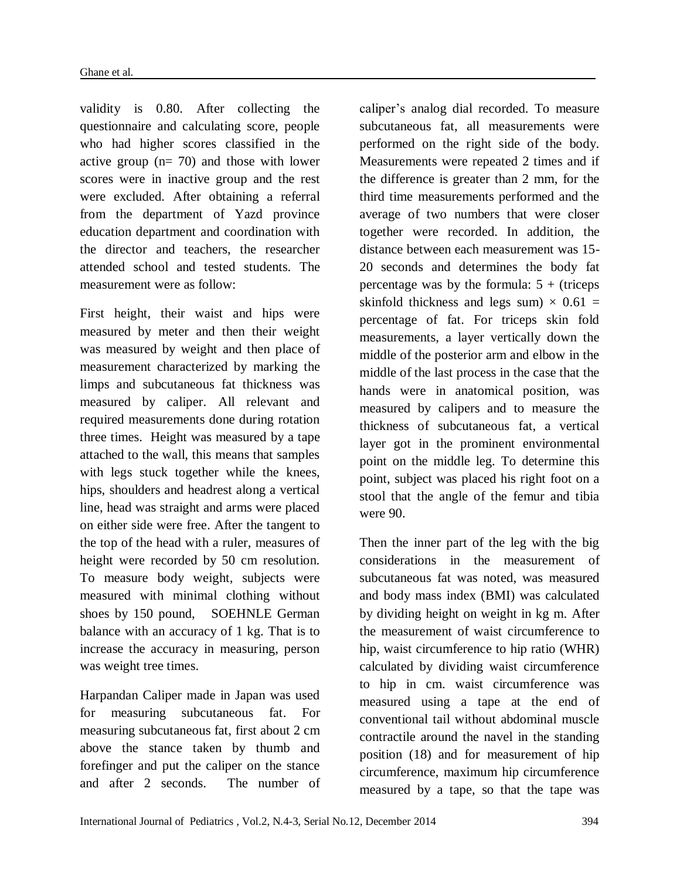validity is 0.80. After collecting the questionnaire and calculating score, people who had higher scores classified in the active group (n= 70) and those with lower scores were in inactive group and the rest were excluded. After obtaining a referral from the department of Yazd province education department and coordination with the director and teachers, the researcher attended school and tested students. The measurement were as follow:

First height, their waist and hips were measured by meter and then their weight was measured by weight and then place of measurement characterized by marking the limps and subcutaneous fat thickness was measured by caliper. All relevant and required measurements done during rotation three times. Height was measured by a tape attached to the wall, this means that samples with legs stuck together while the knees, hips, shoulders and headrest along a vertical line, head was straight and arms were placed on either side were free. After the tangent to the top of the head with a ruler, measures of height were recorded by 50 cm resolution. To measure body weight, subjects were measured with minimal clothing without shoes by 150 pound, SOEHNLE German balance with an accuracy of 1 kg. That is to increase the accuracy in measuring, person was weight tree times.

Harpandan Caliper made in Japan was used for measuring subcutaneous fat. For measuring subcutaneous fat, first about 2 cm above the stance taken by thumb and forefinger and put the caliper on the stance and after 2 seconds. The number of caliper's analog dial recorded. To measure subcutaneous fat, all measurements were performed on the right side of the body. Measurements were repeated 2 times and if the difference is greater than 2 mm, for the third time measurements performed and the average of two numbers that were closer together were recorded. In addition, the distance between each measurement was 15- 20 seconds and determines the body fat percentage was by the formula:  $5 +$  (triceps skinfold thickness and legs sum)  $\times$  0.61 = percentage of fat. For triceps skin fold measurements, a layer vertically down the middle of the posterior arm and elbow in the middle of the last process in the case that the hands were in anatomical position, was measured by calipers and to measure the thickness of subcutaneous fat, a vertical layer got in the prominent environmental point on the middle leg. To determine this point, subject was placed his right foot on a stool that the angle of the femur and tibia were 90.

Then the inner part of the leg with the big considerations in the measurement of subcutaneous fat was noted, was measured and body mass index (BMI) was calculated by dividing height on weight in kg m. After the measurement of waist circumference to hip, waist circumference to hip ratio (WHR) calculated by dividing waist circumference to hip in cm. waist circumference was measured using a tape at the end of conventional tail without abdominal muscle contractile around the navel in the standing position (18) and for measurement of hip circumference, maximum hip circumference measured by a tape, so that the tape was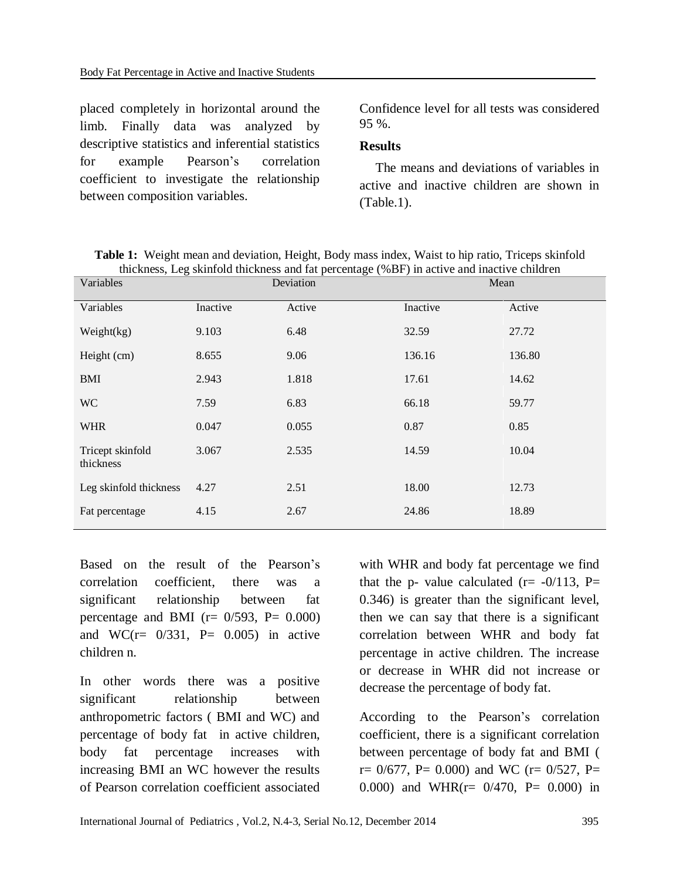placed completely in horizontal around the limb. Finally data was analyzed by descriptive statistics and inferential statistics for example Pearson's correlation coefficient to investigate the relationship between composition variables.

Confidence level for all tests was considered 95 %.

### **Results**

The means and deviations of variables in active and inactive children are shown in (Table.1).

|                      |                    | <b>Table 1:</b> Weight mean and deviation, Height, Body mass index, Waist to hip ratio, Triceps skinfold |  |
|----------------------|--------------------|----------------------------------------------------------------------------------------------------------|--|
|                      |                    | thickness, Leg skinfold thickness and fat percentage (%BF) in active and inactive children               |  |
| $\sim$ $\sim$ $\sim$ | D <sub>ofion</sub> | $M_{\rm con}$                                                                                            |  |

| Variables                     | Deviation |        | Mean     |        |
|-------------------------------|-----------|--------|----------|--------|
| Variables                     | Inactive  | Active | Inactive | Active |
| Weight $(kg)$                 | 9.103     | 6.48   | 32.59    | 27.72  |
| Height (cm)                   | 8.655     | 9.06   | 136.16   | 136.80 |
| <b>BMI</b>                    | 2.943     | 1.818  | 17.61    | 14.62  |
| <b>WC</b>                     | 7.59      | 6.83   | 66.18    | 59.77  |
| <b>WHR</b>                    | 0.047     | 0.055  | 0.87     | 0.85   |
| Tricept skinfold<br>thickness | 3.067     | 2.535  | 14.59    | 10.04  |
| Leg skinfold thickness        | 4.27      | 2.51   | 18.00    | 12.73  |
| Fat percentage                | 4.15      | 2.67   | 24.86    | 18.89  |

Based on the result of the Pearson's correlation coefficient, there was a significant relationship between fat percentage and BMI ( $r = 0/593$ ,  $P = 0.000$ ) and WC( $r = 0/331$ ,  $P = 0.005$ ) in active children n.

In other words there was a positive significant relationship between anthropometric factors ( BMI and WC) and percentage of body fat in active children, body fat percentage increases with increasing BMI an WC however the results of Pearson correlation coefficient associated

with WHR and body fat percentage we find that the p- value calculated  $(r = -0/113, P=$ 0.346) is greater than the significant level, then we can say that there is a significant correlation between WHR and body fat percentage in active children. The increase or decrease in WHR did not increase or decrease the percentage of body fat.

According to the Pearson's correlation coefficient, there is a significant correlation between percentage of body fat and BMI (  $r= 0/677$ , P= 0.000) and WC ( $r= 0/527$ , P= 0.000) and WHR(r= 0/470, P= 0.000) in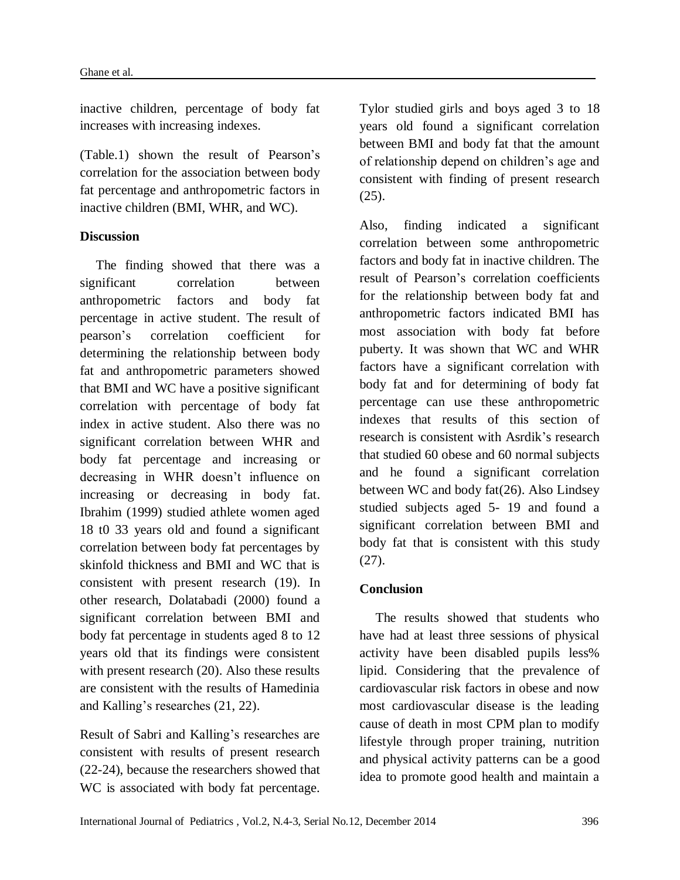inactive children, percentage of body fat increases with increasing indexes.

(Table.1) shown the result of Pearson's correlation for the association between body fat percentage and anthropometric factors in inactive children (BMI, WHR, and WC).

### **Discussion**

The finding showed that there was a significant correlation between anthropometric factors and body fat percentage in active student. The result of pearson's correlation coefficient for determining the relationship between body fat and anthropometric parameters showed that BMI and WC have a positive significant correlation with percentage of body fat index in active student. Also there was no significant correlation between WHR and body fat percentage and increasing or decreasing in WHR doesn't influence on increasing or decreasing in body fat. Ibrahim (1999) studied athlete women aged 18 t0 33 years old and found a significant correlation between body fat percentages by skinfold thickness and BMI and WC that is consistent with present research (19). In other research, Dolatabadi (2000) found a significant correlation between BMI and body fat percentage in students aged 8 to 12 years old that its findings were consistent with present research (20). Also these results are consistent with the results of Hamedinia and Kalling's researches (21, 22).

Result of Sabri and Kalling's researches are consistent with results of present research (22-24), because the researchers showed that WC is associated with body fat percentage.

Tylor studied girls and boys aged 3 to 18 years old found a significant correlation between BMI and body fat that the amount of relationship depend on children's age and consistent with finding of present research (25).

Also, finding indicated a significant correlation between some anthropometric factors and body fat in inactive children. The result of Pearson's correlation coefficients for the relationship between body fat and anthropometric factors indicated BMI has most association with body fat before puberty. It was shown that WC and WHR factors have a significant correlation with body fat and for determining of body fat percentage can use these anthropometric indexes that results of this section of research is consistent with Asrdik's research that studied 60 obese and 60 normal subjects and he found a significant correlation between WC and body fat(26). Also Lindsey studied subjects aged 5- 19 and found a significant correlation between BMI and body fat that is consistent with this study (27).

# **Conclusion**

The results showed that students who have had at least three sessions of physical activity have been disabled pupils less% lipid. Considering that the prevalence of cardiovascular risk factors in obese and now most cardiovascular disease is the leading cause of death in most CPM plan to modify lifestyle through proper training, nutrition and physical activity patterns can be a good idea to promote good health and maintain a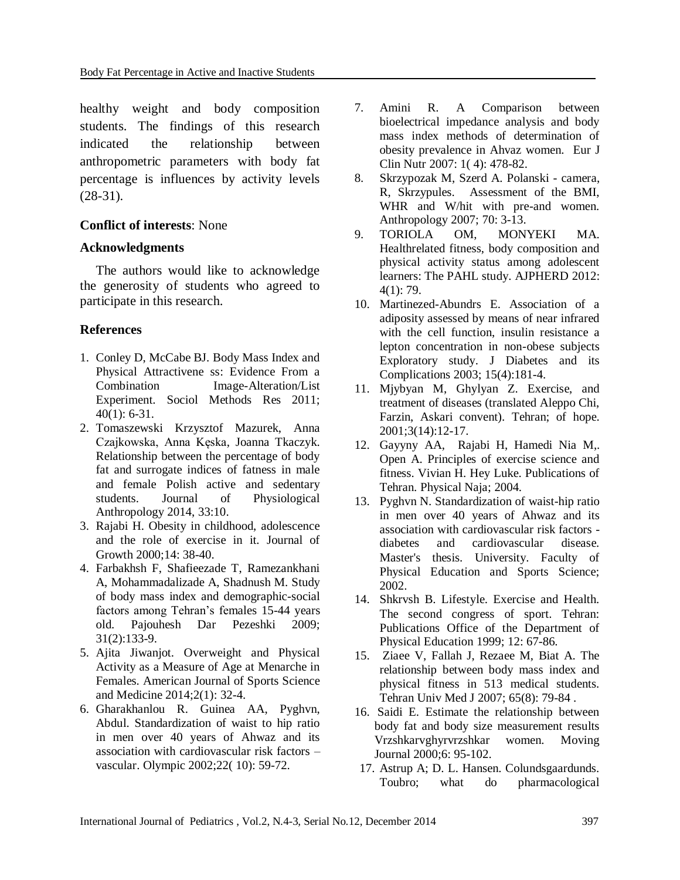healthy weight and body composition students. The findings of this research indicated the relationship between anthropometric parameters with body fat percentage is influences by activity levels (28-31).

### **Conflict of interests**: None

### **Acknowledgments**

The authors would like to acknowledge the generosity of students who agreed to participate in this research.

# **References**

- 1. Conley D, McCabe BJ. Body Mass Index and Physical Attractivene ss: Evidence From a Combination Image-Alteration/List Experiment. Sociol Methods Res 2011;  $40(1)$ : 6-31.
- 2. Tomaszewski Krzysztof Mazurek, Anna Czajkowska, Anna Kęska, Joanna Tkaczyk. Relationship between the percentage of body fat and surrogate indices of fatness in male and female Polish active and sedentary students. Journal of Physiological Anthropology 2014, 33:10.
- 3. Rajabi H. Obesity in childhood, adolescence and the role of exercise in it. Journal of Growth 2000;14: 38-40.
- 4. Farbakhsh F, Shafieezade T, Ramezankhani A, Mohammadalizade A, Shadnush M. Study of body mass index and demographic-social factors among Tehran's females 15-44 years old. Pajouhesh Dar Pezeshki 2009; 31(2):133-9.
- 5. Ajita Jiwanjot. Overweight and Physical Activity as a Measure of Age at Menarche in Females. American Journal of Sports Science and Medicine 2014;2(1): 32-4.
- 6. Gharakhanlou R. Guinea AA, Pyghvn, Abdul. Standardization of waist to hip ratio in men over 40 years of Ahwaz and its association with cardiovascular risk factors – vascular. Olympic 2002;22( 10): 59-72.
- 7. Amini R. A Comparison between bioelectrical impedance analysis and body mass index methods of determination of obesity prevalence in Ahvaz women. Eur J Clin Nutr 2007: 1( 4): 478-82.
- 8. Skrzypozak M, Szerd A. Polanski camera, R, Skrzypules. Assessment of the BMI, WHR and W/hit with pre-and women. Anthropology 2007; 70: 3-13.
- 9. TORIOLA OM, MONYEKI MA. Healthrelated fitness, body composition and physical activity status among adolescent learners: The PAHL study. AJPHERD 2012: 4(1): 79.
- 10. Martinezed-Abundrs E. Association of a adiposity assessed by means of near infrared with the cell function, insulin resistance a lepton concentration in non-obese subjects Exploratory study. J Diabetes and its Complications 2003; 15(4):181-4.
- 11. Mjybyan M, Ghylyan Z. Exercise, and treatment of diseases (translated Aleppo Chi, Farzin, Askari convent). Tehran; of hope. 2001;3(14):12-17.
- 12. Gayyny AA, Rajabi H, Hamedi Nia M,. Open A. Principles of exercise science and fitness. Vivian H. Hey Luke. Publications of Tehran. Physical Naja; 2004.
- 13. Pyghvn N. Standardization of waist-hip ratio in men over 40 years of Ahwaz and its association with cardiovascular risk factors diabetes and cardiovascular disease. Master's thesis. University. Faculty of Physical Education and Sports Science; 2002.
- 14. Shkrvsh B. Lifestyle. Exercise and Health. The second congress of sport. Tehran: Publications Office of the Department of Physical Education 1999; 12: 67-86.
- 15. Ziaee V, Fallah J, Rezaee M, Biat A. The relationship between body mass index and physical fitness in 513 medical students. Tehran Univ Med J 2007; 65(8): 79-84 .
- 16. Saidi E. Estimate the relationship between body fat and body size measurement results Vrzshkarvghyrvrzshkar women. Moving Journal 2000;6: 95-102.
- 17. Astrup A; D. L. Hansen. Colundsgaardunds. Toubro; what do pharmacological